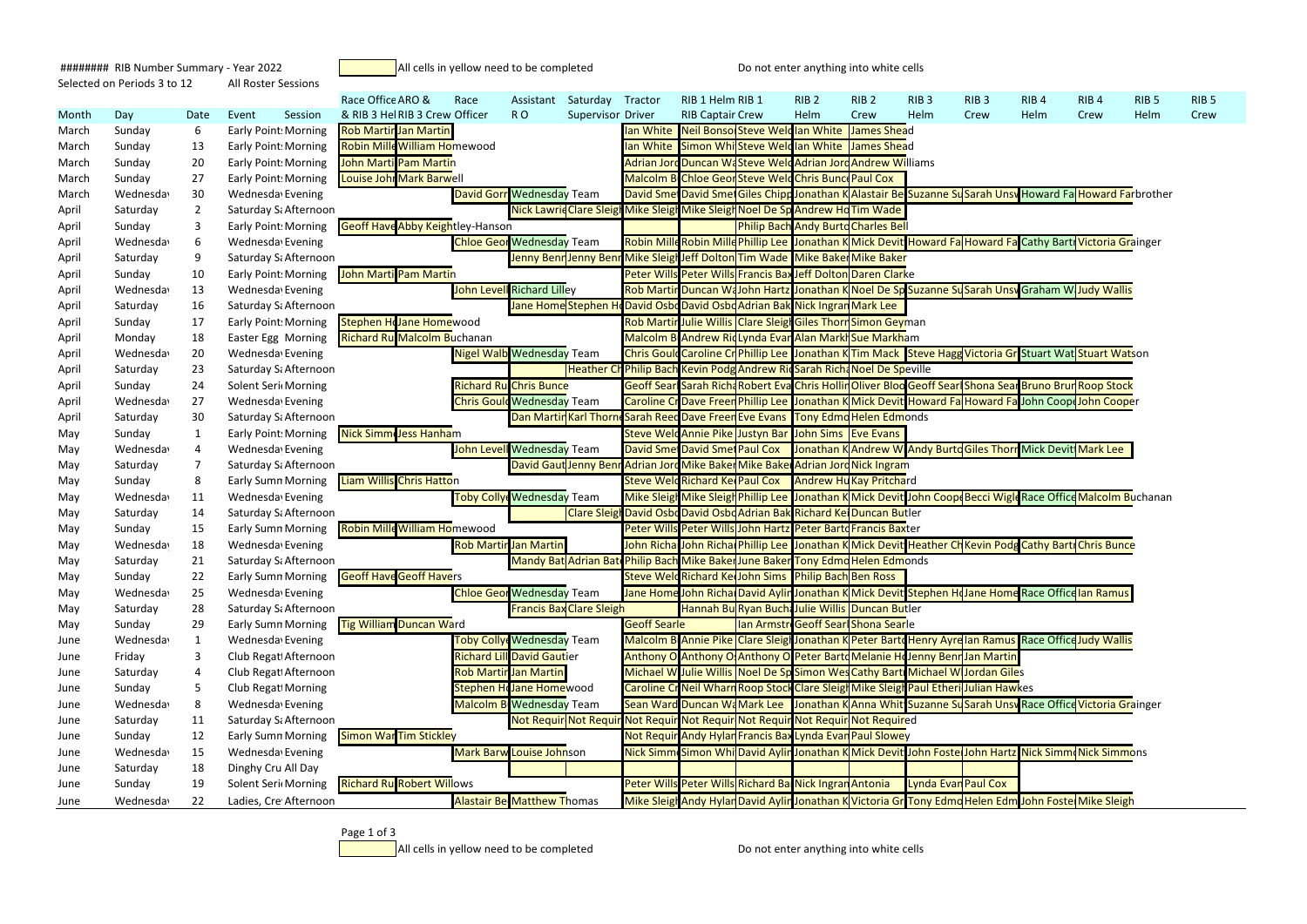- 
- 
- 
- 
- 
- 
- 
- 
- 
- 
- 
- 
- 

```
######## RIB Number Summary - Year 2022 All cells in yellow need to be completed Do not enter anything into white cells
Selected on Periods 3 to 12 All Roster Sessions
```

|       |           |                |                             |         | Race Office ARO &                          | Race | Assistant                         | Saturday Tractor                                                                |                     | RIB 1 Helm RIB 1               |                                                                          | RIB <sub>2</sub>                           | RIB <sub>2</sub> | RIB <sub>3</sub> | RIB <sub>3</sub>                                                                                             | RIB <sub>4</sub> | RIB <sub>4</sub> | RIB <sub>5</sub> | RIB <sub>5</sub> |
|-------|-----------|----------------|-----------------------------|---------|--------------------------------------------|------|-----------------------------------|---------------------------------------------------------------------------------|---------------------|--------------------------------|--------------------------------------------------------------------------|--------------------------------------------|------------------|------------------|--------------------------------------------------------------------------------------------------------------|------------------|------------------|------------------|------------------|
| Month | Day       | Date           | Event                       | Session | & RIB 3 Hel RIB 3 Crew Officer             |      | RO <sub>1</sub>                   | <b>Supervisor Driver</b>                                                        |                     | <b>RIB Captair Crew</b>        |                                                                          | Helm                                       | Crew             | Helm             | Crew                                                                                                         | Helm             | Crew             | Helm             | Crew             |
| March | Sunday    | 6              | Early Point: Morning        |         | <b>Rob Martir Jan Martin</b>               |      |                                   |                                                                                 |                     |                                | Ian White Neil Bonso Steve Weldlan White James Shead                     |                                            |                  |                  |                                                                                                              |                  |                  |                  |                  |
| March | Sunday    | 13             | <b>Early Point: Morning</b> |         | <b>Robin Mille William Homewood</b>        |      |                                   |                                                                                 |                     |                                | Ian White Simon Whi Steve Weldlan White James Shead                      |                                            |                  |                  |                                                                                                              |                  |                  |                  |                  |
| March | Sunday    | 20             | Early Point: Morning        |         | <b>John Marti Pam Martin</b>               |      |                                   |                                                                                 |                     |                                | Adrian Jord Duncan WaSteve Weld Adrian Jord Andrew Williams              |                                            |                  |                  |                                                                                                              |                  |                  |                  |                  |
| March | Sunday    | 27             | Early Point: Morning        |         | Louise Johr Mark Barwell                   |      |                                   |                                                                                 |                     |                                | Malcolm B Chloe Geor Steve Weld Chris Bunce Paul Cox                     |                                            |                  |                  |                                                                                                              |                  |                  |                  |                  |
| March | Wednesday | 30             | Wednesday Evening           |         |                                            |      | <b>David Gorr Wednesday Team</b>  |                                                                                 |                     |                                |                                                                          |                                            |                  |                  | David Smet David Smet Giles Chipp Jonathan K Alastair Be Suzanne Su Sarah Unsw Howard Fa Howard Farbrother   |                  |                  |                  |                  |
| April | Saturday  | $\overline{2}$ | Saturday Sa Afternoon       |         |                                            |      |                                   | Nick Lawrid Clare Sleigh Mike Sleigh Mike Sleigh Noel De Sp Andrew Ho Tim Wade  |                     |                                |                                                                          |                                            |                  |                  |                                                                                                              |                  |                  |                  |                  |
| April | Sunday    | 3              | Early Point: Morning        |         | <b>Geoff Have Abby Keightley-Hanson</b>    |      |                                   |                                                                                 |                     |                                |                                                                          | <b>Philip Bach Andy Burto Charles Bell</b> |                  |                  |                                                                                                              |                  |                  |                  |                  |
| April | Wednesday | 6              | Wednesday Evening           |         |                                            |      | <b>Chloe Geor Wednesday Team</b>  |                                                                                 |                     |                                |                                                                          |                                            |                  |                  | Robin Milld Robin Milld Phillip Lee Jonathan K Mick Devit Howard Fa Howard Fa Cathy Bart Victoria Grainger   |                  |                  |                  |                  |
| April | Saturday  | 9              | Saturday Sa Afternoon       |         |                                            |      |                                   | Jenny Benn Jenny Benn Mike Sleigh Jeff Dolton Tim Wade Mike Baken Mike Baker    |                     |                                |                                                                          |                                            |                  |                  |                                                                                                              |                  |                  |                  |                  |
| April | Sunday    | 10             | <b>Early Point: Morning</b> |         | John Marti Pam Martin                      |      |                                   |                                                                                 |                     |                                | Peter Wills Peter Wills Francis Bax Jeff Dolton Daren Clarke             |                                            |                  |                  |                                                                                                              |                  |                  |                  |                  |
| April | Wednesday | 13             | Wednesday Evening           |         |                                            |      | <b>John Levell Richard Lilley</b> |                                                                                 |                     |                                |                                                                          |                                            |                  |                  | Rob Martin Duncan WaJohn Hartz Jonathan K Noel De Sp Suzanne Su Sarah Unsw Graham W Judy Wallis              |                  |                  |                  |                  |
| April | Saturday  | 16             | Saturday Si Afternoon       |         |                                            |      |                                   | Jane Home Stephen H                                                             |                     |                                | David Osbo David Osbo Adrian Bak Nick Ingran Mark Lee                    |                                            |                  |                  |                                                                                                              |                  |                  |                  |                  |
| April | Sunday    | 17             | <b>Early Point: Morning</b> |         | Stephen Holane Homewood                    |      |                                   |                                                                                 |                     |                                | Rob Martir Julie Willis Clare Sleigh Giles Thorn Simon Geyman            |                                            |                  |                  |                                                                                                              |                  |                  |                  |                  |
| April | Monday    | 18             | Easter Egg   Morning        |         | <b>Richard Ru Malcolm Buchanan</b>         |      |                                   |                                                                                 |                     |                                | Malcolm B Andrew RidLynda Evar Alan Markh Sue Markham                    |                                            |                  |                  |                                                                                                              |                  |                  |                  |                  |
| April | Wednesday | 20             | Wednesday Evening           |         |                                            |      | <b>Nigel Walb Wednesday Team</b>  |                                                                                 |                     |                                |                                                                          |                                            |                  |                  | Chris Gould Caroline Cr Phillip Lee Jonathan K Tim Mack Steve Hagg Victoria Gr Stuart Wat Stuart Watson      |                  |                  |                  |                  |
| April | Saturday  | 23             | Saturday Sa Afternoon       |         |                                            |      |                                   |                                                                                 |                     |                                | Heather Ch Philip Bach Kevin Podg Andrew Ric Sarah Rich Noel De Speville |                                            |                  |                  |                                                                                                              |                  |                  |                  |                  |
| April | Sunday    | 24             | <b>Solent Seri Morning</b>  |         |                                            |      | <b>Richard Ru Chris Bunce</b>     |                                                                                 |                     |                                |                                                                          |                                            |                  |                  | Geoff Searl Sarah Rich Robert Eva Chris Hollin Oliver Bloo Geoff Searl Shona Sear Bruno Brun Roop Stock      |                  |                  |                  |                  |
| April | Wednesday | 27             | Wednesday Evening           |         |                                            |      | <b>Chris Gould Wednesday Team</b> |                                                                                 |                     |                                |                                                                          |                                            |                  |                  | Caroline CrDave Freen Phillip Lee Jonathan K Mick Devit Howard Fa Howard Fa John Coope John Cooper           |                  |                  |                  |                  |
| April | Saturday  | 30             | Saturday Si Afternoon       |         |                                            |      | Dan Martin Karl Thorn             |                                                                                 |                     |                                | <b>Sarah Reed Dave Freen Eve Evans Tony Edmo Helen Edmonds</b>           |                                            |                  |                  |                                                                                                              |                  |                  |                  |                  |
| May   | Sunday    | 1              | Early Point: Morning        |         | Nick Simm Jess Hanham                      |      |                                   |                                                                                 |                     |                                | Steve Welc Annie Pike Justyn Bar John Sims   Eve Evans                   |                                            |                  |                  |                                                                                                              |                  |                  |                  |                  |
| May   | Wednesday | 4              | Wednesday Evening           |         |                                            |      | John Levell Wednesday Team        |                                                                                 |                     |                                |                                                                          |                                            |                  |                  | David Smet David Smet Paul Cox Jonathan K Andrew W Andy Burtd Giles Thorn Mick Devitt Mark Lee               |                  |                  |                  |                  |
| May   | Saturday  | 7              | Saturday Sa Afternoon       |         |                                            |      |                                   | David Gaut Jenny Benr Adrian Jord Mike Baker Mike Baker Adrian Jord Nick Ingram |                     |                                |                                                                          |                                            |                  |                  |                                                                                                              |                  |                  |                  |                  |
| May   | Sunday    | 8              | <b>Early Sumn Morning</b>   |         | Liam Willis Chris Hatton                   |      |                                   |                                                                                 |                     | Steve Weld Richard Ke Paul Cox |                                                                          | <b>Andrew Hu Kay Pritchard</b>             |                  |                  |                                                                                                              |                  |                  |                  |                  |
| May   | Wednesday | 11             | Wednesday Evening           |         |                                            |      | <b>Toby Colly Wednesday Team</b>  |                                                                                 |                     |                                |                                                                          |                                            |                  |                  | Mike Sleigh Mike Sleigh Phillip Lee Jonathan K Mick Devit John Coop Becci Wigle Race Office Malcolm Buchanan |                  |                  |                  |                  |
| May   | Saturday  | 14             | Saturday Si Afternoon       |         |                                            |      |                                   |                                                                                 |                     |                                | Clare Sleigh David Osbo David Osbo Adrian Bak Richard Kei Duncan Butler  |                                            |                  |                  |                                                                                                              |                  |                  |                  |                  |
| May   | Sunday    | 15             | <b>Early Sumn Morning</b>   |         | <b>Robin Mille William Homewood</b>        |      |                                   |                                                                                 |                     |                                | Peter Wills Peter Wills John Hartz Peter Bartd Francis Baxter            |                                            |                  |                  |                                                                                                              |                  |                  |                  |                  |
| May   | Wednesday | 18             | Wednesday Evening           |         |                                            |      | <b>Rob Martir Jan Martin</b>      |                                                                                 |                     |                                |                                                                          |                                            |                  |                  | John Richa John Richa Phillip Lee Jonathan K Mick Devit Heather CH Kevin Podg Cathy Bart Chris Bunce         |                  |                  |                  |                  |
| May   | Saturday  | 21             | Saturday Sa Afternoon       |         |                                            |      |                                   | Mandy Bat Adrian Bat Philip Bach Mike Baker June Baker Tony Edmondent Edmonds   |                     |                                |                                                                          |                                            |                  |                  |                                                                                                              |                  |                  |                  |                  |
| May   | Sunday    | 22             |                             |         | Early Sumn Morning Geoff Have Geoff Havers |      |                                   |                                                                                 |                     |                                | Steve Weld Richard Ke John Sims Philip Bach Ben Ross                     |                                            |                  |                  |                                                                                                              |                  |                  |                  |                  |
| May   | Wednesday | 25             | Wednesday Evening           |         |                                            |      | <b>Chloe Geor Wednesday Team</b>  |                                                                                 |                     |                                |                                                                          |                                            |                  |                  | Jane Home John Richa David Aylin Jonathan K Mick Devit Stephen Ho Jane Home Race Office Ian Ramus            |                  |                  |                  |                  |
| May   | Saturday  | 28             | Saturday Sa Afternoon       |         |                                            |      |                                   | <b>Francis Bax Clare Sleigh</b>                                                 |                     |                                | Hannah BuRyan Bucha Julie Willis Duncan Butler                           |                                            |                  |                  |                                                                                                              |                  |                  |                  |                  |
| May   | Sunday    | 29             | <b>Early Sumn Morning</b>   |         | <b>Tig William Duncan Ward</b>             |      |                                   |                                                                                 | <b>Geoff Searle</b> |                                |                                                                          | Ian Armstre Geoff Searl Shona Searle       |                  |                  |                                                                                                              |                  |                  |                  |                  |
| June  | Wednesday |                | Wednesday Evening           |         |                                            |      | <b>Toby Colly Wednesday Team</b>  |                                                                                 |                     |                                |                                                                          |                                            |                  |                  | Malcolm B Annie Pike Clare Sleigh Jonathan K Peter Barto Henry Ayrelian Ramus Race Office Judy Wallis        |                  |                  |                  |                  |
| June  | Friday    | 3              | Club Regat Afternoon        |         |                                            |      | <b>Richard Lill David Gautier</b> |                                                                                 |                     |                                |                                                                          |                                            |                  |                  | Anthony O Anthony O Anthony O Peter Barto Melanie Ho Jenny Benn Jan Martin                                   |                  |                  |                  |                  |
| June  | Saturday  | 4              | Club Regati Afternoon       |         |                                            |      | <b>Rob Martir Jan Martin</b>      |                                                                                 |                     |                                |                                                                          |                                            |                  |                  | Michael W Julie Willis Noel De Sp Simon Wes Cathy Bart Michael W Jordan Giles                                |                  |                  |                  |                  |
| June  | Sunday    | 5              | Club Regat Morning          |         |                                            |      | <b>Stephen Holane Homewood</b>    |                                                                                 |                     |                                |                                                                          |                                            |                  |                  | Caroline Cr Neil Wharn Roop Stock Clare Sleigh Mike Sleigh Paul Etheri Julian Hawkes                         |                  |                  |                  |                  |
| June  | Wednesday | 8              | Wednesday Evening           |         |                                            |      | <b>Malcolm B Wednesday Team</b>   |                                                                                 |                     |                                |                                                                          |                                            |                  |                  | Sean Ward Duncan WaMark Lee Jonathan K Anna Whit Suzanne Su Sarah Unsw Race Office Victoria Grainger         |                  |                  |                  |                  |
| June  | Saturday  | 11             | Saturday Sa Afternoon       |         |                                            |      | Not Requir Not Requ               |                                                                                 |                     |                                | r Not Requir Not Requir Not Requir Not Requir Not Required               |                                            |                  |                  |                                                                                                              |                  |                  |                  |                  |
| June  | Sunday    | 12             | <b>Early Sumn Morning</b>   |         | <b>Simon War Tim Stickley</b>              |      |                                   |                                                                                 |                     |                                | Not Requir Andy Hylan Francis Bax Lynda Evan Paul Slowey                 |                                            |                  |                  |                                                                                                              |                  |                  |                  |                  |
| June  | Wednesday | 15             | Wednesday Evening           |         |                                            |      | <b>Mark Barw Louise Johnson</b>   |                                                                                 |                     |                                |                                                                          |                                            |                  |                  | Nick Simm Simon Whi David Aylin Jonathan K Mick Devit John Foste John Hartz Nick Simm Nick Simmons           |                  |                  |                  |                  |
| June  | Saturday  | 18             | Dinghy Cru All Day          |         |                                            |      |                                   |                                                                                 |                     |                                |                                                                          |                                            |                  |                  |                                                                                                              |                  |                  |                  |                  |
| June  | Sunday    | 19             | Solent Seri Morning         |         | <b>Richard Ru Robert Willows</b>           |      |                                   |                                                                                 |                     |                                | Peter Wills Peter Wills Richard Ba Nick Ingran Antonia                   |                                            |                  |                  | Lynda Evan Paul Cox                                                                                          |                  |                  |                  |                  |
| June  | Wednesday | 22             | Ladies, Cre Afternoon       |         |                                            |      | <b>Alastair Be Matthew Thomas</b> |                                                                                 |                     |                                |                                                                          |                                            |                  |                  | Mike Sleigh Andy Hylan David Aylin Jonathan K Victoria Gr Tony Edmo Helen Edm John Foste Mike Sleigh         |                  |                  |                  |                  |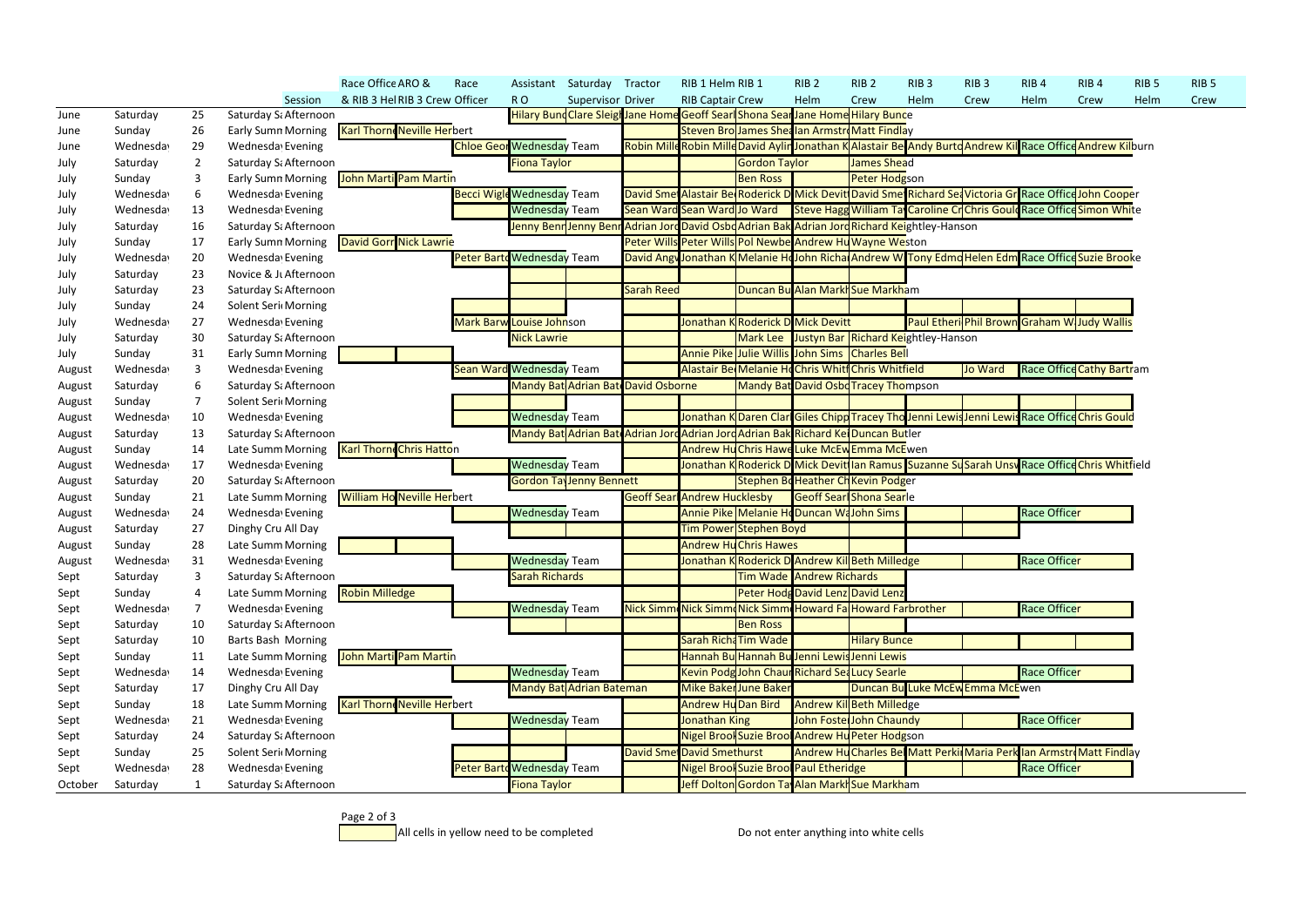|         |           |                |                           | Race Office ARO &                  | Race                              |                                  | Assistant Saturday Tractor         |                   | RIB 1 Helm RIB 1                   |                      | RIB <sub>2</sub>                                                                                            | RIB <sub>2</sub>                                                   | RIB <sub>3</sub> | RIB <sub>3</sub>                            | RIB <sub>4</sub>    | RIB <sub>4</sub>                 | RIB <sub>5</sub> | RIB <sub>5</sub> |
|---------|-----------|----------------|---------------------------|------------------------------------|-----------------------------------|----------------------------------|------------------------------------|-------------------|------------------------------------|----------------------|-------------------------------------------------------------------------------------------------------------|--------------------------------------------------------------------|------------------|---------------------------------------------|---------------------|----------------------------------|------------------|------------------|
|         |           |                | Session                   | & RIB 3 Hel RIB 3 Crew Officer     |                                   | RO <sub>1</sub>                  | Supervisor Driver                  |                   | <b>RIB Captair Crew</b>            |                      | Helm                                                                                                        | Crew                                                               | Helm             | Crew                                        | Helm                | Crew                             | Helm             | Crew             |
| June    | Saturday  | 25             | Saturday S. Afternoon     |                                    |                                   |                                  |                                    |                   |                                    |                      | Hilary Bund Clare Sleigh Jane Home Geoff Searl Shona Sear Jane Home Hilary Bunce                            |                                                                    |                  |                                             |                     |                                  |                  |                  |
| June    | Sunday    | 26             | <b>Early Sumn Morning</b> | <b>Karl Thorne Neville Herbert</b> |                                   |                                  |                                    |                   |                                    |                      | Steven Bro James Shealan Armstro Matt Findlay                                                               |                                                                    |                  |                                             |                     |                                  |                  |                  |
| June    | Wednesday | 29             | Wednesday Evening         |                                    |                                   | <b>Chloe Geor Wednesday Team</b> |                                    |                   |                                    |                      | Robin Mille Robin Mille David Aylin Jonathan K Alastair Be Andy Burtd Andrew Kil Race Office Andrew Kilburn |                                                                    |                  |                                             |                     |                                  |                  |                  |
| July    | Saturday  | $\overline{2}$ | Saturday S. Afternoon     |                                    |                                   | Fiona Taylor                     |                                    |                   |                                    | <b>Gordon Taylor</b> |                                                                                                             | James Shead                                                        |                  |                                             |                     |                                  |                  |                  |
| July    | Sunday    | 3              | <b>Early Sumn Morning</b> | John Marti Pam Martin              |                                   |                                  |                                    |                   |                                    | <b>Ben Ross</b>      |                                                                                                             | Peter Hodgson                                                      |                  |                                             |                     |                                  |                  |                  |
| July    | Wednesday | 6              | Wednesday Evening         |                                    | <b>Becci Wigle Wednesday Team</b> |                                  |                                    |                   |                                    |                      | David Smet Alastair Be Roderick D Mick Devit David Smet Richard Set Victoria Gr Race Office John Cooper     |                                                                    |                  |                                             |                     |                                  |                  |                  |
| July    | Wednesday | 13             | Wednesday Evening         |                                    |                                   | <b>Wednesday Team</b>            |                                    |                   | Sean Ward Sean Ward Jo Ward        |                      | Steve Hagg William Ta Caroline Crchris Gould Race Office Simon White                                        |                                                                    |                  |                                             |                     |                                  |                  |                  |
| July    | Saturday  | 16             | Saturday Sa Afternoon     |                                    |                                   |                                  |                                    |                   |                                    |                      | Jenny Benn Jenny Benn Adrian Jord David Osbd Adrian Bak Adrian Jord Richard Keightley-Hanson                |                                                                    |                  |                                             |                     |                                  |                  |                  |
| July    | Sunday    | 17             | <b>Early Sumn Morning</b> | <b>David Gorr Nick Lawrie</b>      |                                   |                                  |                                    |                   |                                    |                      | Peter Wills Peter Wills Pol Newbe Andrew Hu Wayne Weston                                                    |                                                                    |                  |                                             |                     |                                  |                  |                  |
| July    | Wednesday | 20             | Wednesday Evening         |                                    | Peter Barto Wednesday Team        |                                  |                                    |                   |                                    |                      | David Angy Jonathan K Melanie Ho John Richa Andrew W Tony Edmo Helen Edm Race Office Suzie Brooke           |                                                                    |                  |                                             |                     |                                  |                  |                  |
| July    | Saturday  | 23             | Novice & Jt Afternoon     |                                    |                                   |                                  |                                    |                   |                                    |                      |                                                                                                             |                                                                    |                  |                                             |                     |                                  |                  |                  |
| July    | Saturday  | 23             | Saturday Sa Afternoon     |                                    |                                   |                                  |                                    | <b>Sarah Reed</b> |                                    |                      | Duncan Bu Alan Markh Sue Markham                                                                            |                                                                    |                  |                                             |                     |                                  |                  |                  |
| July    | Sunday    | 24             | Solent Seri Morning       |                                    |                                   |                                  |                                    |                   |                                    |                      |                                                                                                             |                                                                    |                  |                                             |                     |                                  |                  |                  |
| July    | Wednesday | 27             | Wednesday Evening         |                                    |                                   | Mark Barw Louise Johnson         |                                    |                   |                                    |                      | Jonathan K Roderick D Mick Devitt                                                                           |                                                                    |                  | Paul Etheri Phil Brown Graham W Judy Wallis |                     |                                  |                  |                  |
| July    | Saturday  | 30             | Saturday Sa Afternoon     |                                    |                                   | <b>Nick Lawrie</b>               |                                    |                   |                                    |                      | Mark Lee Justyn Bar Richard Keightley-Hanson                                                                |                                                                    |                  |                                             |                     |                                  |                  |                  |
| July    | Sunday    | 31             | <b>Early Sumn Morning</b> |                                    |                                   |                                  |                                    |                   |                                    |                      | Annie Pike Julie Willis John Sims Charles Bell                                                              |                                                                    |                  |                                             |                     |                                  |                  |                  |
| August  | Wednesday | 3              | Wednesday Evening         |                                    | <b>Sean Ward Wednesday Team</b>   |                                  |                                    |                   |                                    |                      | Alastair Be Melanie Ho Chris Whitf Chris Whitfield                                                          |                                                                    |                  | <b>Jo Ward</b>                              |                     | <b>Race Office Cathy Bartram</b> |                  |                  |
| August  | Saturday  | 6              | Saturday Sa Afternoon     |                                    |                                   |                                  | Mandy Bat Adrian Bat David Osborne |                   |                                    |                      | <b>Mandy Bat David Osbd Tracey Thompson</b>                                                                 |                                                                    |                  |                                             |                     |                                  |                  |                  |
| August  | Sunday    |                | Solent Seri Morning       |                                    |                                   |                                  |                                    |                   |                                    |                      |                                                                                                             |                                                                    |                  |                                             |                     |                                  |                  |                  |
| August  | Wednesday | 10             | Wednesday Evening         |                                    |                                   | <b>Wednesday Team</b>            |                                    |                   |                                    |                      | Jonathan K Daren Clar Giles Chipp Tracey Tho Jenni Lewis Jenni Lewis Race Office Chris Gould                |                                                                    |                  |                                             |                     |                                  |                  |                  |
| August  | Saturday  | 13             | Saturday Sa Afternoon     |                                    |                                   |                                  |                                    |                   |                                    |                      | Mandy Bat Adrian Bat Adrian Jord Adrian Jord Adrian Bak Richard Kel Duncan Butler                           |                                                                    |                  |                                             |                     |                                  |                  |                  |
| August  | Sunday    | 14             | Late Summ Morning         | <b>Karl Thorne Chris Hatton</b>    |                                   |                                  |                                    |                   |                                    |                      | Andrew Hu Chris Hawe Luke McEw Emma McEwen                                                                  |                                                                    |                  |                                             |                     |                                  |                  |                  |
| August  | Wednesday | 17             | Wednesday Evening         |                                    |                                   | <b>Wednesday Team</b>            |                                    |                   |                                    |                      | Jonathan K Roderick D Mick Devit Ian Ramus Suzanne Su Sarah Unsv Race Office Chris Whitfield                |                                                                    |                  |                                             |                     |                                  |                  |                  |
| August  | Saturday  | 20             | Saturday Sa Afternoon     |                                    |                                   |                                  | <b>Gordon TayJenny Bennett</b>     |                   |                                    |                      | Stephen Bo Heather Ch Kevin Podger                                                                          |                                                                    |                  |                                             |                     |                                  |                  |                  |
| August  | Sunday    | 21             | Late Summ Morning         | <b>William Ho Neville Herbert</b>  |                                   |                                  |                                    |                   | <b>Geoff Sear Andrew Hucklesby</b> |                      |                                                                                                             | <b>Geoff Searl Shona Searle</b>                                    |                  |                                             |                     |                                  |                  |                  |
| August  | Wednesday | 24             | Wednesday Evening         |                                    |                                   | <b>Wednesday Team</b>            |                                    |                   |                                    |                      | Annie Pike Melanie HoDuncan WaJohn Sims                                                                     |                                                                    |                  |                                             | <b>Race Officer</b> |                                  |                  |                  |
| August  | Saturday  | 27             | Dinghy Cru All Day        |                                    |                                   |                                  |                                    |                   | Tim Power Stephen Boyd             |                      |                                                                                                             |                                                                    |                  |                                             |                     |                                  |                  |                  |
| August  | Sunday    | 28             | Late Summ Morning         |                                    |                                   |                                  |                                    |                   | <b>Andrew Hu Chris Hawes</b>       |                      |                                                                                                             |                                                                    |                  |                                             |                     |                                  |                  |                  |
| August  | Wednesday | 31             | Wednesday Evening         |                                    |                                   | <b>Wednesday Team</b>            |                                    |                   |                                    |                      | Jonathan K Roderick D Andrew Kil Beth Milledge                                                              |                                                                    |                  |                                             | <b>Race Officer</b> |                                  |                  |                  |
| Sept    | Saturday  |                | Saturday S. Afternoon     |                                    |                                   | <b>Sarah Richards</b>            |                                    |                   |                                    |                      | <b>Tim Wade Andrew Richards</b>                                                                             |                                                                    |                  |                                             |                     |                                  |                  |                  |
| Sept    | Sunday    |                | Late Summ Morning         | <b>Robin Milledge</b>              |                                   |                                  |                                    |                   |                                    |                      | Peter Hodg David Lenz David Lenz                                                                            |                                                                    |                  |                                             |                     |                                  |                  |                  |
| Sept    | Wednesday |                | Wednesday Evening         |                                    |                                   | <b>Wednesday</b> Team            |                                    |                   |                                    |                      | Nick Simm Nick Simm Nick Simm Howard Fa Howard Farbrother                                                   |                                                                    |                  |                                             | Race Officer        |                                  |                  |                  |
| Sept    | Saturday  | 10             | Saturday Sa Afternoon     |                                    |                                   |                                  |                                    |                   |                                    | <b>Ben Ross</b>      |                                                                                                             |                                                                    |                  |                                             |                     |                                  |                  |                  |
| Sept    | Saturday  | 10             | Barts Bash Morning        |                                    |                                   |                                  |                                    |                   | Sarah Richa Tim Wade               |                      |                                                                                                             | <b>Hilary Bunce</b>                                                |                  |                                             |                     |                                  |                  |                  |
| Sept    | Sunday    | 11             | Late Summ Morning         | John Marti Pam Martin              |                                   |                                  |                                    |                   |                                    |                      | Hannah Bu Hannah Bu Jenni Lewis Jenni Lewis                                                                 |                                                                    |                  |                                             |                     |                                  |                  |                  |
| Sept    | Wednesday | 14             | Wednesday Evening         |                                    |                                   | <b>Wednesday Team</b>            |                                    |                   |                                    |                      | Kevin Podg John Chaur Richard Sea Lucy Searle                                                               |                                                                    |                  |                                             | <b>Race Officer</b> |                                  |                  |                  |
| Sept    | Saturday  | 17             | Dinghy Cru All Day        |                                    |                                   |                                  | Mandy Bat Adrian Bateman           |                   | Mike Baker June Baker              |                      |                                                                                                             | Duncan Bu Luke McEw Emma McEwen                                    |                  |                                             |                     |                                  |                  |                  |
| Sept    | Sunday    | 18             | Late Summ Morning         | <b>Karl Thorne Neville Herbert</b> |                                   |                                  |                                    |                   |                                    |                      | Andrew Hu Dan Bird Andrew Kil Beth Milledge                                                                 |                                                                    |                  |                                             |                     |                                  |                  |                  |
| Sept    | Wednesday | 21             | Wednesda Evening          |                                    |                                   | <b>Wednesday Team</b>            |                                    |                   | Jonathan King                      |                      |                                                                                                             | John Foste John Chaundy                                            |                  |                                             | <b>Race Officer</b> |                                  |                  |                  |
| Sept    | Saturday  | 24             | Saturday Sa Afternoon     |                                    |                                   |                                  |                                    |                   |                                    |                      | Nigel Brool Suzie Brool Andrew Hu Peter Hodgson                                                             |                                                                    |                  |                                             |                     |                                  |                  |                  |
| Sept    | Sunday    | 25             | Solent Seri Morning       |                                    |                                   |                                  |                                    |                   | <b>David Smet David Smethurst</b>  |                      |                                                                                                             | Andrew Hu Charles Be Matt Perki Maria Perk Ian Armstr Matt Findlay |                  |                                             |                     |                                  |                  |                  |
| Sept    | Wednesday | 28             | Wednesday Evening         |                                    | Peter Barto Wednesday Team        |                                  |                                    |                   |                                    |                      | Nigel Brool Suzie Brool Paul Etheridge                                                                      |                                                                    |                  |                                             | <b>Race Officer</b> |                                  |                  |                  |
| October | Saturday  |                | Saturday Sa Afternoon     |                                    |                                   | <b>Fiona Taylor</b>              |                                    |                   |                                    |                      | Jeff Dolton Gordon Ta Alan Markh Sue Markham                                                                |                                                                    |                  |                                             |                     |                                  |                  |                  |

Page 2 of 3

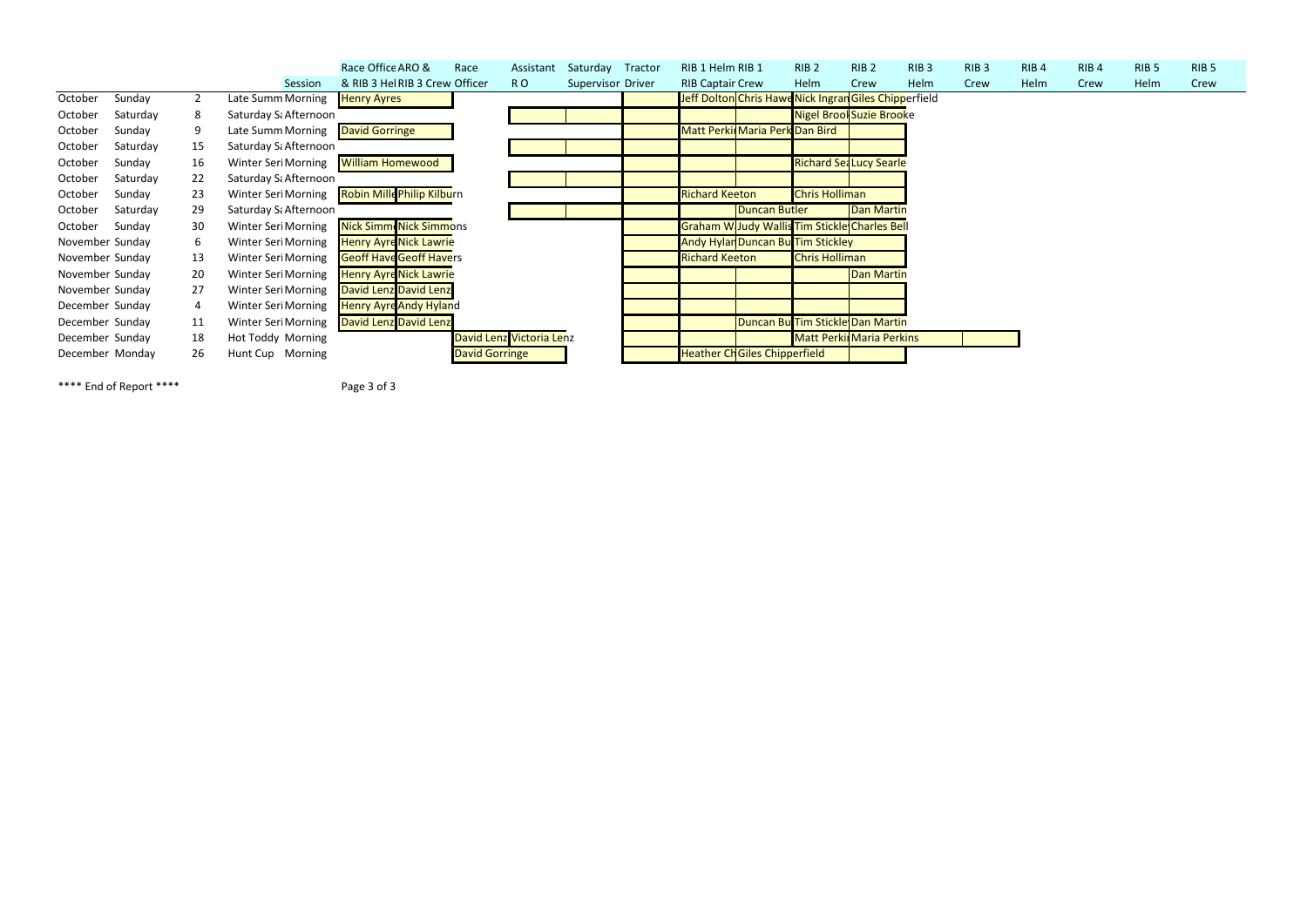|                 |          |    |                                             | Race Office ARO &                              | Race                  | Assistant                | Saturday Tractor  | RIB 1 Helm RIB 1        |                                     | RIB <sub>2</sub>      | RIB <sub>2</sub>                                      | RIB <sub>3</sub> | RIB <sub>3</sub> | RIB <sub>4</sub> | RIB <sub>4</sub> | RIB <sub>5</sub> | RIB <sub>5</sub> |
|-----------------|----------|----|---------------------------------------------|------------------------------------------------|-----------------------|--------------------------|-------------------|-------------------------|-------------------------------------|-----------------------|-------------------------------------------------------|------------------|------------------|------------------|------------------|------------------|------------------|
|                 |          |    | Session                                     | & RIB 3 Hel RIB 3 Crew Officer                 |                       | RO.                      | Supervisor Driver | <b>RIB Captair Crew</b> |                                     | Helm                  | Crew                                                  | Helm             | Crew             | Helm             | Crew             | Helm             | Crew             |
| October         | Sunday   |    | Late Summ Morning                           | <b>Henry Ayres</b>                             |                       |                          |                   |                         |                                     |                       | Jeff Dolton Chris Hawe Nick Ingran Giles Chipperfield |                  |                  |                  |                  |                  |                  |
| October         | Saturday | 8  | Saturday S. Afternoon                       |                                                |                       |                          |                   |                         |                                     |                       | <b>Nigel Brool Suzie Brooke</b>                       |                  |                  |                  |                  |                  |                  |
| October         | Sunday   |    | Late Summ Morning   David Gorringe          |                                                |                       |                          |                   |                         | Matt Perkir Maria Perk Dan Bird     |                       |                                                       |                  |                  |                  |                  |                  |                  |
| October         | Saturday | 15 | Saturday Sa Afternoon                       |                                                |                       |                          |                   |                         |                                     |                       |                                                       |                  |                  |                  |                  |                  |                  |
| October         | Sunday   | 16 | Winter Seri Morning <b>William Homewood</b> |                                                |                       |                          |                   |                         |                                     |                       | <b>Richard Sea Lucy Searle</b>                        |                  |                  |                  |                  |                  |                  |
| October         | Saturday | 22 | Saturday Sa Afternoon                       |                                                |                       |                          |                   |                         |                                     |                       |                                                       |                  |                  |                  |                  |                  |                  |
| October         | Sunday   | 23 |                                             | Winter Seri Morning Robin Mille Philip Kilburn |                       |                          |                   | <b>Richard Keeton</b>   |                                     | <b>Chris Holliman</b> |                                                       |                  |                  |                  |                  |                  |                  |
| October         | Saturday | 29 | Saturday Sa Afternoon                       |                                                |                       |                          |                   |                         | Duncan Butler                       |                       | <b>Dan Martin</b>                                     |                  |                  |                  |                  |                  |                  |
| October         | Sunday   | 30 |                                             | Winter Seri Morning Nick Simm Nick Simmons     |                       |                          |                   |                         |                                     |                       | Graham W Judy Wallis Tim Stickle Charles Bell         |                  |                  |                  |                  |                  |                  |
| November Sunday |          | 6  | <b>Winter Seri Morning</b>                  | <b>Henry Ayre Nick Lawrie</b>                  |                       |                          |                   |                         | Andy Hylan Duncan Bu Tim Stickley   |                       |                                                       |                  |                  |                  |                  |                  |                  |
| November Sunday |          | 13 | <b>Winter Seri Morning</b>                  | <b>Geoff Have Geoff Havers</b>                 |                       |                          |                   | <b>Richard Keeton</b>   |                                     | <b>Chris Holliman</b> |                                                       |                  |                  |                  |                  |                  |                  |
| November Sunday |          | 20 | Winter Seri Morning                         | <b>Henry Ayre Nick Lawrie</b>                  |                       |                          |                   |                         |                                     |                       | <b>Dan Martin</b>                                     |                  |                  |                  |                  |                  |                  |
| November Sunday |          | 27 | Winter Seri Morning                         | <b>David Lenz David Lenz</b>                   |                       |                          |                   |                         |                                     |                       |                                                       |                  |                  |                  |                  |                  |                  |
| December Sunday |          | 4  | <b>Winter Seri Morning</b>                  | <b>Henry Ayre Andy Hyland</b>                  |                       |                          |                   |                         |                                     |                       |                                                       |                  |                  |                  |                  |                  |                  |
| December Sunday |          | 11 | <b>Winter Seri Morning</b>                  | David Lenz David Lenz                          |                       |                          |                   |                         |                                     |                       | Duncan Bu Tim Stickle Dan Martin                      |                  |                  |                  |                  |                  |                  |
| December Sunday |          | 18 | Hot Toddy Morning                           |                                                |                       | David Lenz Victoria Lenz |                   |                         |                                     |                       | <b>Matt Perkir Maria Perkins</b>                      |                  |                  |                  |                  |                  |                  |
| December Monday |          | 26 | Hunt Cup Morning                            |                                                | <b>David Gorringe</b> |                          |                   |                         | <b>Heather ChGiles Chipperfield</b> |                       |                                                       |                  |                  |                  |                  |                  |                  |

\*\*\*\* End of Report \*\*\*\* Page 3 of 3